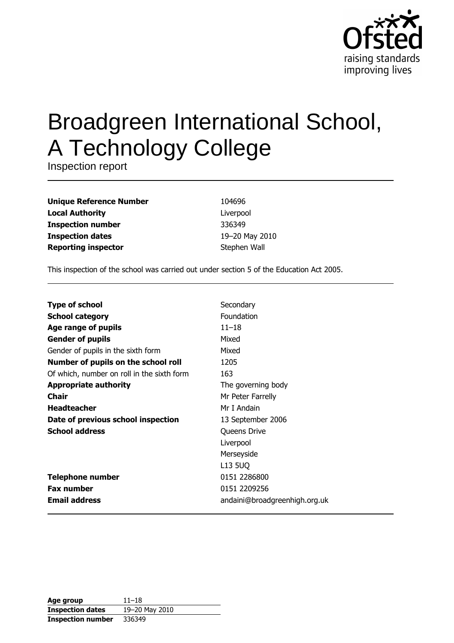

# **Broadgreen International School,** A Technology College

Inspection report

**Unique Reference Number Local Authority Inspection number Inspection dates Reporting inspector** 

104696 Liverpool 336349 19-20 May 2010 Stephen Wall

This inspection of the school was carried out under section 5 of the Education Act 2005.

| <b>Type of school</b>                      | Secondary                     |
|--------------------------------------------|-------------------------------|
| <b>School category</b>                     | Foundation                    |
| Age range of pupils                        | $11 - 18$                     |
| <b>Gender of pupils</b>                    | Mixed                         |
| Gender of pupils in the sixth form         | Mixed                         |
| Number of pupils on the school roll        | 1205                          |
| Of which, number on roll in the sixth form | 163                           |
| <b>Appropriate authority</b>               | The governing body            |
| Chair                                      | Mr Peter Farrelly             |
| <b>Headteacher</b>                         | Mr I Andain                   |
| Date of previous school inspection         | 13 September 2006             |
| <b>School address</b>                      | Queens Drive                  |
|                                            | Liverpool                     |
|                                            | Merseyside                    |
|                                            | <b>L13 5UQ</b>                |
| <b>Telephone number</b>                    | 0151 2286800                  |
| <b>Fax number</b>                          | 0151 2209256                  |
| <b>Email address</b>                       | andaini@broadgreenhigh.org.uk |

| Age group                | $11 - 18$      |
|--------------------------|----------------|
| <b>Inspection dates</b>  | 19-20 May 2010 |
| <b>Inspection number</b> | 336349         |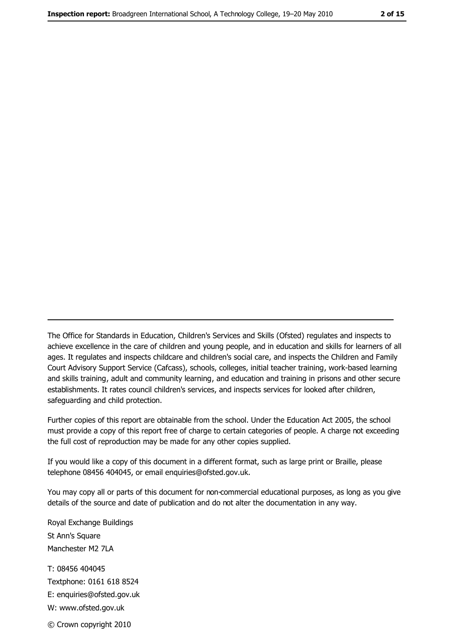The Office for Standards in Education, Children's Services and Skills (Ofsted) regulates and inspects to achieve excellence in the care of children and young people, and in education and skills for learners of all ages. It regulates and inspects childcare and children's social care, and inspects the Children and Family Court Advisory Support Service (Cafcass), schools, colleges, initial teacher training, work-based learning and skills training, adult and community learning, and education and training in prisons and other secure establishments. It rates council children's services, and inspects services for looked after children, safequarding and child protection.

Further copies of this report are obtainable from the school. Under the Education Act 2005, the school must provide a copy of this report free of charge to certain categories of people. A charge not exceeding the full cost of reproduction may be made for any other copies supplied.

If you would like a copy of this document in a different format, such as large print or Braille, please telephone 08456 404045, or email enquiries@ofsted.gov.uk.

You may copy all or parts of this document for non-commercial educational purposes, as long as you give details of the source and date of publication and do not alter the documentation in any way.

Royal Exchange Buildings St Ann's Square Manchester M2 7LA T: 08456 404045 Textphone: 0161 618 8524 E: enquiries@ofsted.gov.uk W: www.ofsted.gov.uk © Crown copyright 2010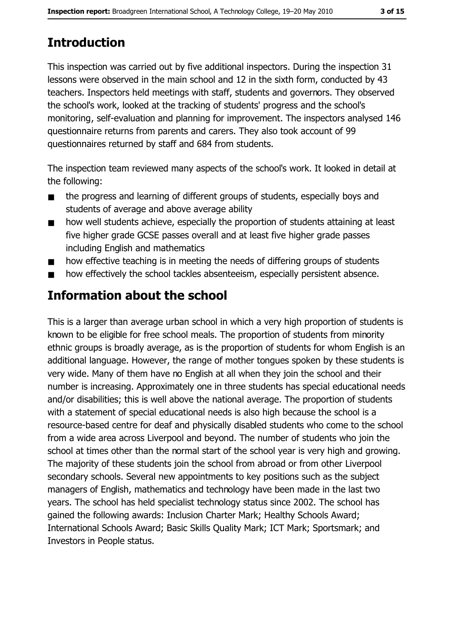# **Introduction**

This inspection was carried out by five additional inspectors. During the inspection 31 lessons were observed in the main school and 12 in the sixth form, conducted by 43 teachers. Inspectors held meetings with staff, students and governors. They observed the school's work, looked at the tracking of students' progress and the school's monitoring, self-evaluation and planning for improvement. The inspectors analysed 146 questionnaire returns from parents and carers. They also took account of 99 questionnaires returned by staff and 684 from students.

The inspection team reviewed many aspects of the school's work. It looked in detail at the following:

- the progress and learning of different groups of students, especially boys and  $\blacksquare$ students of average and above average ability
- how well students achieve, especially the proportion of students attaining at least  $\blacksquare$ five higher grade GCSE passes overall and at least five higher grade passes including English and mathematics
- how effective teaching is in meeting the needs of differing groups of students  $\blacksquare$
- how effectively the school tackles absenteeism, especially persistent absence.  $\blacksquare$

# Information about the school

This is a larger than average urban school in which a very high proportion of students is known to be eligible for free school meals. The proportion of students from minority ethnic groups is broadly average, as is the proportion of students for whom English is an additional language. However, the range of mother tongues spoken by these students is very wide. Many of them have no English at all when they join the school and their number is increasing. Approximately one in three students has special educational needs and/or disabilities; this is well above the national average. The proportion of students with a statement of special educational needs is also high because the school is a resource-based centre for deaf and physically disabled students who come to the school from a wide area across Liverpool and beyond. The number of students who join the school at times other than the normal start of the school year is very high and growing. The majority of these students join the school from abroad or from other Liverpool secondary schools. Several new appointments to key positions such as the subject managers of English, mathematics and technology have been made in the last two years. The school has held specialist technology status since 2002. The school has gained the following awards: Inclusion Charter Mark; Healthy Schools Award; International Schools Award; Basic Skills Quality Mark; ICT Mark; Sportsmark; and Investors in People status.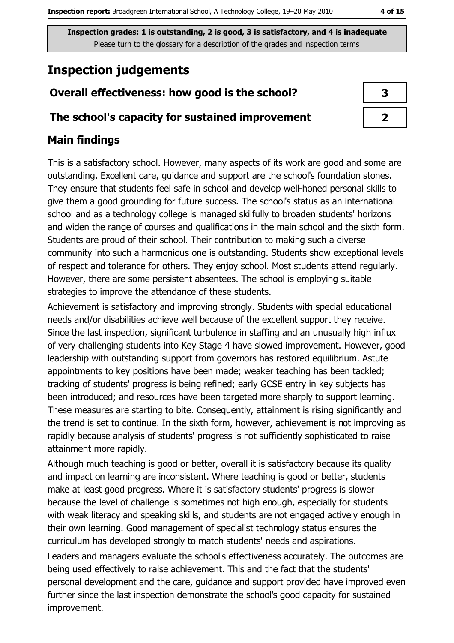# **Inspection judgements**

# Overall effectiveness: how good is the school?

### The school's capacity for sustained improvement

## **Main findings**

This is a satisfactory school. However, many aspects of its work are good and some are outstanding. Excellent care, guidance and support are the school's foundation stones. They ensure that students feel safe in school and develop well-honed personal skills to give them a good grounding for future success. The school's status as an international school and as a technology college is managed skilfully to broaden students' horizons and widen the range of courses and qualifications in the main school and the sixth form. Students are proud of their school. Their contribution to making such a diverse community into such a harmonious one is outstanding. Students show exceptional levels of respect and tolerance for others. They enjoy school. Most students attend regularly. However, there are some persistent absentees. The school is employing suitable strategies to improve the attendance of these students.

Achievement is satisfactory and improving strongly. Students with special educational needs and/or disabilities achieve well because of the excellent support they receive. Since the last inspection, significant turbulence in staffing and an unusually high influx of very challenging students into Key Stage 4 have slowed improvement. However, good leadership with outstanding support from governors has restored equilibrium. Astute appointments to key positions have been made; weaker teaching has been tackled; tracking of students' progress is being refined; early GCSE entry in key subjects has been introduced; and resources have been targeted more sharply to support learning. These measures are starting to bite. Consequently, attainment is rising significantly and the trend is set to continue. In the sixth form, however, achievement is not improving as rapidly because analysis of students' progress is not sufficiently sophisticated to raise attainment more rapidly.

Although much teaching is good or better, overall it is satisfactory because its quality and impact on learning are inconsistent. Where teaching is good or better, students make at least good progress. Where it is satisfactory students' progress is slower because the level of challenge is sometimes not high enough, especially for students with weak literacy and speaking skills, and students are not engaged actively enough in their own learning. Good management of specialist technology status ensures the curriculum has developed strongly to match students' needs and aspirations.

Leaders and managers evaluate the school's effectiveness accurately. The outcomes are being used effectively to raise achievement. This and the fact that the students' personal development and the care, quidance and support provided have improved even further since the last inspection demonstrate the school's good capacity for sustained improvement.

| 3 |  |
|---|--|
|   |  |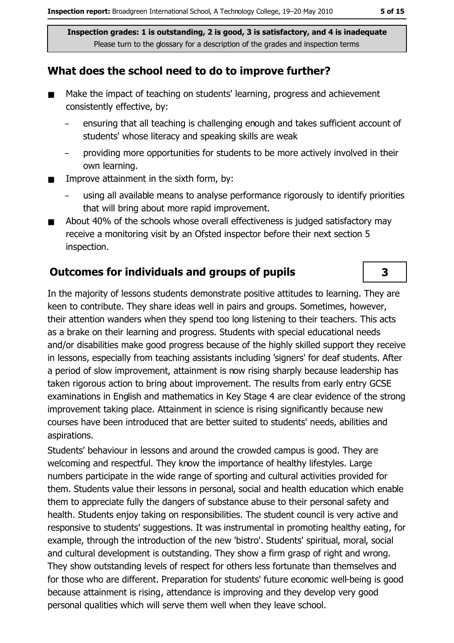#### What does the school need to do to improve further?

- Make the impact of teaching on students' learning, progress and achievement  $\blacksquare$ consistently effective, by:
	- ensuring that all teaching is challenging enough and takes sufficient account of students' whose literacy and speaking skills are weak
	- providing more opportunities for students to be more actively involved in their own learning.
- Improve attainment in the sixth form, by:  $\blacksquare$ 
	- using all available means to analyse performance rigorously to identify priorities that will bring about more rapid improvement.
- About 40% of the schools whose overall effectiveness is judged satisfactory may  $\blacksquare$ receive a monitoring visit by an Ofsted inspector before their next section 5 inspection.

### **Outcomes for individuals and groups of pupils**

In the majority of lessons students demonstrate positive attitudes to learning. They are keen to contribute. They share ideas well in pairs and groups. Sometimes, however, their attention wanders when they spend too long listening to their teachers. This acts as a brake on their learning and progress. Students with special educational needs and/or disabilities make good progress because of the highly skilled support they receive in lessons, especially from teaching assistants including 'signers' for deaf students. After a period of slow improvement, attainment is now rising sharply because leadership has taken rigorous action to bring about improvement. The results from early entry GCSE examinations in English and mathematics in Key Stage 4 are clear evidence of the strong improvement taking place. Attainment in science is rising significantly because new courses have been introduced that are better suited to students' needs, abilities and aspirations.

Students' behaviour in lessons and around the crowded campus is good. They are welcoming and respectful. They know the importance of healthy lifestyles. Large numbers participate in the wide range of sporting and cultural activities provided for them. Students value their lessons in personal, social and health education which enable them to appreciate fully the dangers of substance abuse to their personal safety and health. Students enjoy taking on responsibilities. The student council is very active and responsive to students' suggestions. It was instrumental in promoting healthy eating, for example, through the introduction of the new 'bistro'. Students' spiritual, moral, social and cultural development is outstanding. They show a firm grasp of right and wrong. They show outstanding levels of respect for others less fortunate than themselves and for those who are different. Preparation for students' future economic well-being is good because attainment is rising, attendance is improving and they develop very good personal qualities which will serve them well when they leave school.

 $\overline{\mathbf{3}}$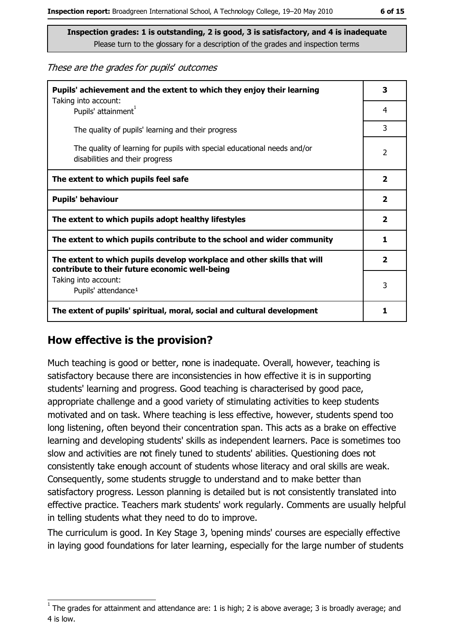These are the grades for pupils' outcomes

| Pupils' achievement and the extent to which they enjoy their learning                                                     |                |
|---------------------------------------------------------------------------------------------------------------------------|----------------|
| Taking into account:<br>Pupils' attainment <sup>1</sup>                                                                   | 4              |
| The quality of pupils' learning and their progress                                                                        | 3              |
| The quality of learning for pupils with special educational needs and/or<br>disabilities and their progress               | $\overline{2}$ |
| The extent to which pupils feel safe                                                                                      |                |
| <b>Pupils' behaviour</b>                                                                                                  |                |
| The extent to which pupils adopt healthy lifestyles                                                                       |                |
| The extent to which pupils contribute to the school and wider community                                                   |                |
| The extent to which pupils develop workplace and other skills that will<br>contribute to their future economic well-being |                |
| Taking into account:<br>Pupils' attendance <sup>1</sup>                                                                   |                |
| The extent of pupils' spiritual, moral, social and cultural development                                                   |                |

### How effective is the provision?

Much teaching is good or better, none is inadequate. Overall, however, teaching is satisfactory because there are inconsistencies in how effective it is in supporting students' learning and progress. Good teaching is characterised by good pace, appropriate challenge and a good variety of stimulating activities to keep students motivated and on task. Where teaching is less effective, however, students spend too long listening, often beyond their concentration span. This acts as a brake on effective learning and developing students' skills as independent learners. Pace is sometimes too slow and activities are not finely tuned to students' abilities. Questioning does not consistently take enough account of students whose literacy and oral skills are weak. Consequently, some students struggle to understand and to make better than satisfactory progress. Lesson planning is detailed but is not consistently translated into effective practice. Teachers mark students' work regularly. Comments are usually helpful in telling students what they need to do to improve.

The curriculum is good. In Key Stage 3, bpening minds' courses are especially effective in laying good foundations for later learning, especially for the large number of students

The grades for attainment and attendance are: 1 is high; 2 is above average; 3 is broadly average; and 4 is low.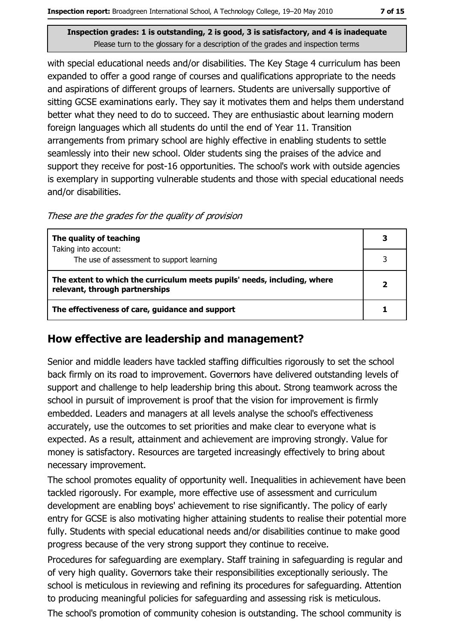with special educational needs and/or disabilities. The Key Stage 4 curriculum has been expanded to offer a good range of courses and qualifications appropriate to the needs and aspirations of different groups of learners. Students are universally supportive of sitting GCSE examinations early. They say it motivates them and helps them understand better what they need to do to succeed. They are enthusiastic about learning modern foreign languages which all students do until the end of Year 11. Transition arrangements from primary school are highly effective in enabling students to settle seamlessly into their new school. Older students sing the praises of the advice and support they receive for post-16 opportunities. The school's work with outside agencies is exemplary in supporting vulnerable students and those with special educational needs and/or disabilities.

These are the grades for the quality of provision

| The quality of teaching                                                                                    | 3 |
|------------------------------------------------------------------------------------------------------------|---|
| Taking into account:<br>The use of assessment to support learning                                          |   |
|                                                                                                            |   |
| The extent to which the curriculum meets pupils' needs, including, where<br>relevant, through partnerships |   |
|                                                                                                            |   |

### How effective are leadership and management?

Senior and middle leaders have tackled staffing difficulties rigorously to set the school back firmly on its road to improvement. Governors have delivered outstanding levels of support and challenge to help leadership bring this about. Strong teamwork across the school in pursuit of improvement is proof that the vision for improvement is firmly embedded. Leaders and managers at all levels analyse the school's effectiveness accurately, use the outcomes to set priorities and make clear to everyone what is expected. As a result, attainment and achievement are improving strongly. Value for money is satisfactory. Resources are targeted increasingly effectively to bring about necessary improvement.

The school promotes equality of opportunity well. Inequalities in achievement have been tackled rigorously. For example, more effective use of assessment and curriculum development are enabling boys' achievement to rise significantly. The policy of early entry for GCSE is also motivating higher attaining students to realise their potential more fully. Students with special educational needs and/or disabilities continue to make good progress because of the very strong support they continue to receive.

Procedures for safeguarding are exemplary. Staff training in safeguarding is regular and of very high quality. Governors take their responsibilities exceptionally seriously. The school is meticulous in reviewing and refining its procedures for safeguarding. Attention to producing meaningful policies for safeguarding and assessing risk is meticulous. The school's promotion of community cohesion is outstanding. The school community is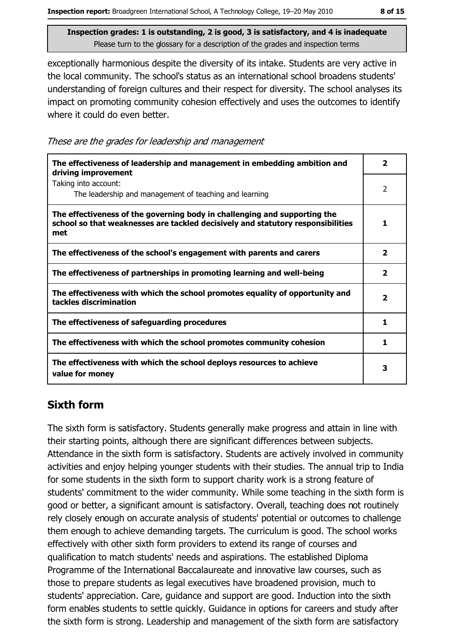exceptionally harmonious despite the diversity of its intake. Students are very active in the local community. The school's status as an international school broadens students' understanding of foreign cultures and their respect for diversity. The school analyses its impact on promoting community cohesion effectively and uses the outcomes to identify where it could do even better.

These are the grades for leadership and management

| The effectiveness of leadership and management in embedding ambition and<br>driving improvement                                                                     | 2                       |
|---------------------------------------------------------------------------------------------------------------------------------------------------------------------|-------------------------|
| Taking into account:<br>The leadership and management of teaching and learning                                                                                      | $\overline{2}$          |
| The effectiveness of the governing body in challenging and supporting the<br>school so that weaknesses are tackled decisively and statutory responsibilities<br>met | 1                       |
| The effectiveness of the school's engagement with parents and carers                                                                                                | $\overline{\mathbf{2}}$ |
| The effectiveness of partnerships in promoting learning and well-being                                                                                              | $\overline{\mathbf{2}}$ |
| The effectiveness with which the school promotes equality of opportunity and<br>tackles discrimination                                                              | $\overline{\mathbf{2}}$ |
| The effectiveness of safeguarding procedures                                                                                                                        | 1                       |
| The effectiveness with which the school promotes community cohesion                                                                                                 | 1                       |
| The effectiveness with which the school deploys resources to achieve<br>value for money                                                                             | 3                       |

### **Sixth form**

The sixth form is satisfactory. Students generally make progress and attain in line with their starting points, although there are significant differences between subjects. Attendance in the sixth form is satisfactory. Students are actively involved in community activities and enjoy helping younger students with their studies. The annual trip to India for some students in the sixth form to support charity work is a strong feature of students' commitment to the wider community. While some teaching in the sixth form is good or better, a significant amount is satisfactory. Overall, teaching does not routinely rely closely enough on accurate analysis of students' potential or outcomes to challenge them enough to achieve demanding targets. The curriculum is good. The school works effectively with other sixth form providers to extend its range of courses and qualification to match students' needs and aspirations. The established Diploma Programme of the International Baccalaureate and innovative law courses, such as those to prepare students as legal executives have broadened provision, much to students' appreciation. Care, guidance and support are good. Induction into the sixth form enables students to settle quickly. Guidance in options for careers and study after the sixth form is strong. Leadership and management of the sixth form are satisfactory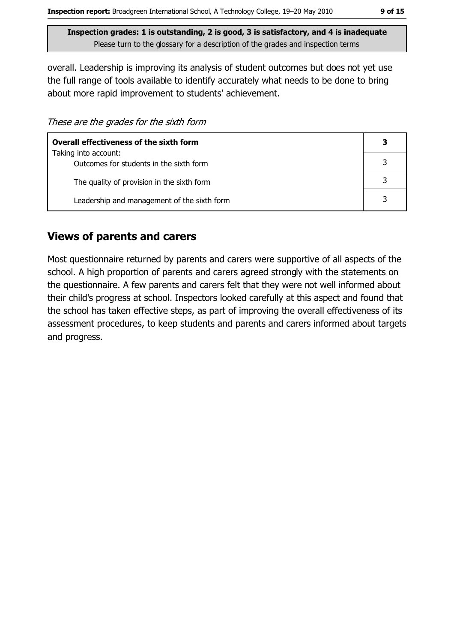overall. Leadership is improving its analysis of student outcomes but does not yet use the full range of tools available to identify accurately what needs to be done to bring about more rapid improvement to students' achievement.

These are the grades for the sixth form

| <b>Overall effectiveness of the sixth form</b>                  |  |  |
|-----------------------------------------------------------------|--|--|
| Taking into account:<br>Outcomes for students in the sixth form |  |  |
| The quality of provision in the sixth form                      |  |  |
| Leadership and management of the sixth form                     |  |  |

### **Views of parents and carers**

Most questionnaire returned by parents and carers were supportive of all aspects of the school. A high proportion of parents and carers agreed strongly with the statements on the questionnaire. A few parents and carers felt that they were not well informed about their child's progress at school. Inspectors looked carefully at this aspect and found that the school has taken effective steps, as part of improving the overall effectiveness of its assessment procedures, to keep students and parents and carers informed about targets and progress.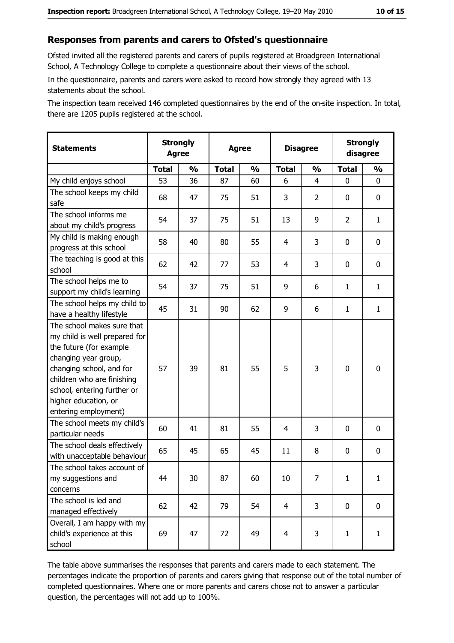#### Responses from parents and carers to Ofsted's questionnaire

Ofsted invited all the registered parents and carers of pupils registered at Broadgreen International School, A Technology College to complete a questionnaire about their views of the school.

In the questionnaire, parents and carers were asked to record how strongly they agreed with 13 statements about the school.

The inspection team received 146 completed questionnaires by the end of the on-site inspection. In total, there are 1205 pupils registered at the school.

| <b>Statements</b>                                                                                                                                                                                                                                       | <b>Strongly</b><br><b>Agree</b> |               | <b>Agree</b> |               | <b>Disagree</b> |                | <b>Strongly</b><br>disagree |               |
|---------------------------------------------------------------------------------------------------------------------------------------------------------------------------------------------------------------------------------------------------------|---------------------------------|---------------|--------------|---------------|-----------------|----------------|-----------------------------|---------------|
|                                                                                                                                                                                                                                                         | <b>Total</b>                    | $\frac{0}{0}$ | <b>Total</b> | $\frac{0}{0}$ | <b>Total</b>    | $\frac{0}{0}$  | <b>Total</b>                | $\frac{1}{2}$ |
| My child enjoys school                                                                                                                                                                                                                                  | 53                              | 36            | 87           | 60            | 6               | $\overline{4}$ | $\mathbf{0}$                | 0             |
| The school keeps my child<br>safe                                                                                                                                                                                                                       | 68                              | 47            | 75           | 51            | 3               | $\overline{2}$ | 0                           | $\mathbf 0$   |
| The school informs me<br>about my child's progress                                                                                                                                                                                                      | 54                              | 37            | 75           | 51            | 13              | 9              | 2                           | $\mathbf{1}$  |
| My child is making enough<br>progress at this school                                                                                                                                                                                                    | 58                              | 40            | 80           | 55            | 4               | 3              | 0                           | 0             |
| The teaching is good at this<br>school                                                                                                                                                                                                                  | 62                              | 42            | 77           | 53            | 4               | 3              | 0                           | 0             |
| The school helps me to<br>support my child's learning                                                                                                                                                                                                   | 54                              | 37            | 75           | 51            | 9               | 6              | 1                           | $\mathbf{1}$  |
| The school helps my child to<br>have a healthy lifestyle                                                                                                                                                                                                | 45                              | 31            | 90           | 62            | 9               | 6              | 1                           | $\mathbf{1}$  |
| The school makes sure that<br>my child is well prepared for<br>the future (for example<br>changing year group,<br>changing school, and for<br>children who are finishing<br>school, entering further or<br>higher education, or<br>entering employment) | 57                              | 39            | 81           | 55            | 5               | 3              | $\mathbf 0$                 | $\mathbf 0$   |
| The school meets my child's<br>particular needs                                                                                                                                                                                                         | 60                              | 41            | 81           | 55            | 4               | 3              | 0                           | 0             |
| The school deals effectively<br>with unacceptable behaviour                                                                                                                                                                                             | 65                              | 45            | 65           | 45            | 11              | 8              | 0                           | $\bf{0}$      |
| The school takes account of<br>my suggestions and<br>concerns                                                                                                                                                                                           | 44                              | 30            | 87           | 60            | 10              | $\overline{7}$ | $\mathbf{1}$                | $\mathbf{1}$  |
| The school is led and<br>managed effectively                                                                                                                                                                                                            | 62                              | 42            | 79           | 54            | $\overline{4}$  | 3              | $\bf{0}$                    | $\mathbf 0$   |
| Overall, I am happy with my<br>child's experience at this<br>school                                                                                                                                                                                     | 69                              | 47            | 72           | 49            | $\overline{4}$  | 3              | $\mathbf{1}$                | $\mathbf{1}$  |

The table above summarises the responses that parents and carers made to each statement. The percentages indicate the proportion of parents and carers giving that response out of the total number of completed questionnaires. Where one or more parents and carers chose not to answer a particular question, the percentages will not add up to 100%.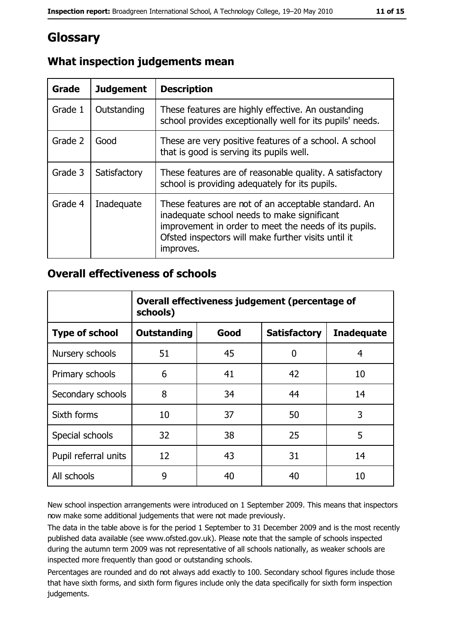# Glossary

| Grade   | <b>Judgement</b> | <b>Description</b>                                                                                                                                                                                                               |
|---------|------------------|----------------------------------------------------------------------------------------------------------------------------------------------------------------------------------------------------------------------------------|
| Grade 1 | Outstanding      | These features are highly effective. An oustanding<br>school provides exceptionally well for its pupils' needs.                                                                                                                  |
| Grade 2 | Good             | These are very positive features of a school. A school<br>that is good is serving its pupils well.                                                                                                                               |
| Grade 3 | Satisfactory     | These features are of reasonable quality. A satisfactory<br>school is providing adequately for its pupils.                                                                                                                       |
| Grade 4 | Inadequate       | These features are not of an acceptable standard. An<br>inadequate school needs to make significant<br>improvement in order to meet the needs of its pupils.<br>Ofsted inspectors will make further visits until it<br>improves. |

### What inspection judgements mean

### **Overall effectiveness of schools**

|                       | Overall effectiveness judgement (percentage of<br>schools) |      |                     |                   |
|-----------------------|------------------------------------------------------------|------|---------------------|-------------------|
| <b>Type of school</b> | <b>Outstanding</b>                                         | Good | <b>Satisfactory</b> | <b>Inadequate</b> |
| Nursery schools       | 51                                                         | 45   | 0                   | 4                 |
| Primary schools       | 6                                                          | 41   | 42                  | 10                |
| Secondary schools     | 8                                                          | 34   | 44                  | 14                |
| Sixth forms           | 10                                                         | 37   | 50                  | 3                 |
| Special schools       | 32                                                         | 38   | 25                  | 5                 |
| Pupil referral units  | 12                                                         | 43   | 31                  | 14                |
| All schools           | 9                                                          | 40   | 40                  | 10                |

New school inspection arrangements were introduced on 1 September 2009. This means that inspectors now make some additional judgements that were not made previously.

The data in the table above is for the period 1 September to 31 December 2009 and is the most recently published data available (see www.ofsted.gov.uk). Please note that the sample of schools inspected during the autumn term 2009 was not representative of all schools nationally, as weaker schools are inspected more frequently than good or outstanding schools.

Percentages are rounded and do not always add exactly to 100. Secondary school figures include those that have sixth forms, and sixth form figures include only the data specifically for sixth form inspection judgements.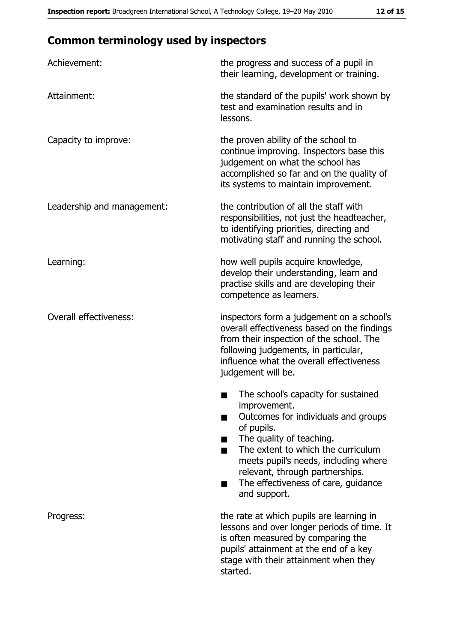# **Common terminology used by inspectors**

| Achievement:                  | the progress and success of a pupil in<br>their learning, development or training.                                                                                                                                                                                                                           |
|-------------------------------|--------------------------------------------------------------------------------------------------------------------------------------------------------------------------------------------------------------------------------------------------------------------------------------------------------------|
| Attainment:                   | the standard of the pupils' work shown by<br>test and examination results and in<br>lessons.                                                                                                                                                                                                                 |
| Capacity to improve:          | the proven ability of the school to<br>continue improving. Inspectors base this<br>judgement on what the school has<br>accomplished so far and on the quality of<br>its systems to maintain improvement.                                                                                                     |
| Leadership and management:    | the contribution of all the staff with<br>responsibilities, not just the headteacher,<br>to identifying priorities, directing and<br>motivating staff and running the school.                                                                                                                                |
| Learning:                     | how well pupils acquire knowledge,<br>develop their understanding, learn and<br>practise skills and are developing their<br>competence as learners.                                                                                                                                                          |
| <b>Overall effectiveness:</b> | inspectors form a judgement on a school's<br>overall effectiveness based on the findings<br>from their inspection of the school. The<br>following judgements, in particular,<br>influence what the overall effectiveness<br>judgement will be.                                                               |
|                               | The school's capacity for sustained<br>improvement.<br>Outcomes for individuals and groups<br>of pupils.<br>The quality of teaching.<br>The extent to which the curriculum<br>meets pupil's needs, including where<br>relevant, through partnerships.<br>The effectiveness of care, guidance<br>and support. |
| Progress:                     | the rate at which pupils are learning in<br>lessons and over longer periods of time. It<br>is often measured by comparing the<br>pupils' attainment at the end of a key<br>stage with their attainment when they<br>started.                                                                                 |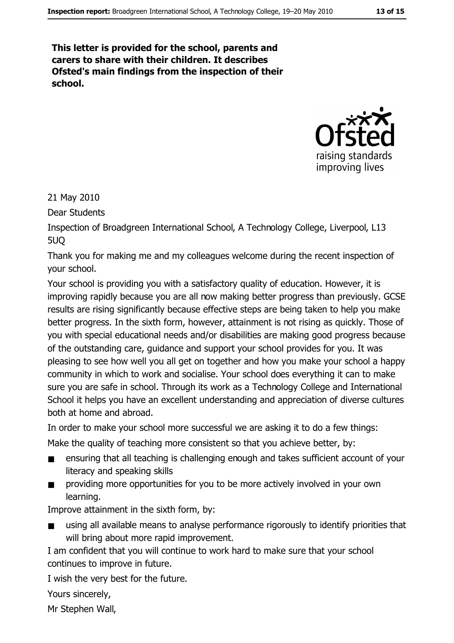This letter is provided for the school, parents and carers to share with their children. It describes Ofsted's main findings from the inspection of their school.



21 May 2010

**Dear Students** 

Inspection of Broadgreen International School, A Technology College, Liverpool, L13 5UO

Thank you for making me and my colleagues welcome during the recent inspection of your school.

Your school is providing you with a satisfactory quality of education. However, it is improving rapidly because you are all now making better progress than previously. GCSE results are rising significantly because effective steps are being taken to help you make better progress. In the sixth form, however, attainment is not rising as quickly. Those of you with special educational needs and/or disabilities are making good progress because of the outstanding care, guidance and support your school provides for you. It was pleasing to see how well you all get on together and how you make your school a happy community in which to work and socialise. Your school does everything it can to make sure you are safe in school. Through its work as a Technology College and International School it helps you have an excellent understanding and appreciation of diverse cultures both at home and abroad.

In order to make your school more successful we are asking it to do a few things: Make the quality of teaching more consistent so that you achieve better, by:

- ensuring that all teaching is challenging enough and takes sufficient account of your  $\blacksquare$ literacy and speaking skills
- providing more opportunities for you to be more actively involved in your own  $\blacksquare$ learning.

Improve attainment in the sixth form, by:

using all available means to analyse performance rigorously to identify priorities that will bring about more rapid improvement.

I am confident that you will continue to work hard to make sure that your school continues to improve in future.

I wish the very best for the future.

Yours sincerely,

Mr Stephen Wall,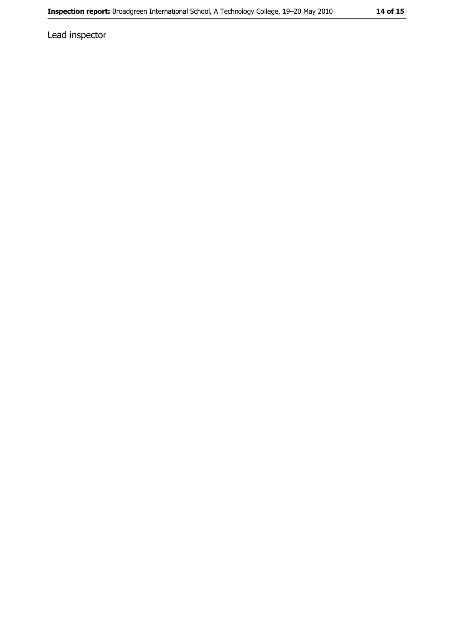Lead inspector